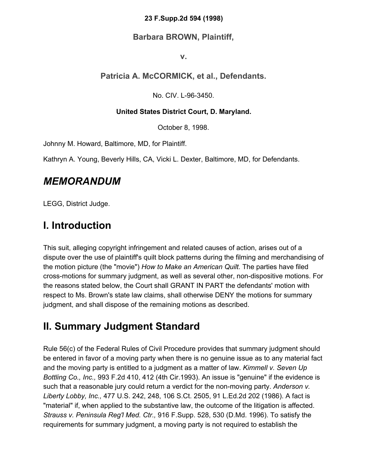#### **23 F.Supp.2d 594 (1998)**

#### **Barbara BROWN, Plaintiff,**

**v.**

#### **Patricia A. McCORMICK, et al., Defendants.**

No. CIV. L-96-3450.

#### **United States District Court, D. Maryland.**

October 8, 1998.

Johnny M. Howard, Baltimore, MD, for Plaintiff.

Kathryn A. Young, Beverly Hills, CA, Vicki L. Dexter, Baltimore, MD, for Defendants.

#### *MEMORANDUM*

LEGG, District Judge.

## **I. Introduction**

This suit, alleging copyright infringement and related causes of action, arises out of a dispute over the use of plaintiff's quilt block patterns during the filming and merchandising of the motion picture (the "movie") *How to Make an American Quilt.* The parties have filed cross-motions for summary judgment, as well as several other, non-dispositive motions. For the reasons stated below, the Court shall GRANT IN PART the defendants' motion with respect to Ms. Brown's state law claims, shall otherwise DENY the motions for summary judgment, and shall dispose of the remaining motions as described.

## **II. Summary Judgment Standard**

Rule 56(c) of the Federal Rules of Civil Procedure provides that summary judgment should be entered in favor of a moving party when there is no genuine issue as to any material fact and the moving party is entitled to a judgment as a matter of law. *Kimmell v. Seven Up Bottling Co., Inc.,* 993 F.2d 410, 412 (4th Cir.1993). An issue is "genuine" if the evidence is such that a reasonable jury could return a verdict for the non-moving party. *Anderson v. Liberty Lobby, Inc.,* 477 U.S. 242, 248, 106 S.Ct. 2505, 91 L.Ed.2d 202 (1986). A fact is "material" if, when applied to the substantive law, the outcome of the litigation is affected. *Strauss v. Peninsula Reg'l Med. Ctr.,* 916 F.Supp. 528, 530 (D.Md. 1996). To satisfy the requirements for summary judgment, a moving party is not required to establish the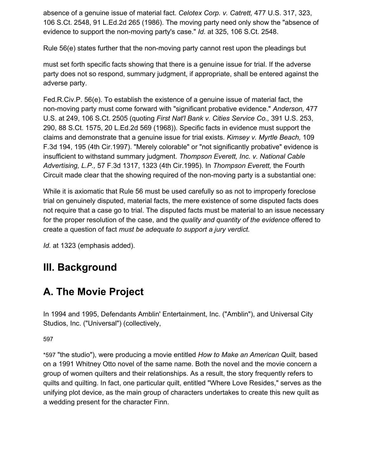absence of a genuine issue of material fact. *Celotex Corp. v. Catrett,* 477 U.S. 317, 323, 106 S.Ct. 2548, 91 L.Ed.2d 265 (1986). The moving party need only show the "absence of evidence to support the non-moving party's case." *Id.* at 325, 106 S.Ct. 2548.

Rule 56(e) states further that the non-moving party cannot rest upon the pleadings but

must set forth specific facts showing that there is a genuine issue for trial. If the adverse party does not so respond, summary judgment, if appropriate, shall be entered against the adverse party.

Fed.R.Civ.P. 56(e). To establish the existence of a genuine issue of material fact, the non-moving party must come forward with "significant probative evidence." *Anderson,* 477 U.S. at 249, 106 S.Ct. 2505 (quoting *First Nat'l Bank v. Cities Service Co.,* 391 U.S. 253, 290, 88 S.Ct. 1575, 20 L.Ed.2d 569 (1968)). Specific facts in evidence must support the claims and demonstrate that a genuine issue for trial exists. *Kimsey v. Myrtle Beach,* 109 F.3d 194, 195 (4th Cir.1997). "Merely colorable" or "not significantly probative" evidence is insufficient to withstand summary judgment. *Thompson Everett, Inc. v. National Cable Advertising, L.P.,* 57 F.3d 1317, 1323 (4th Cir.1995). In *Thompson Everett,* the Fourth Circuit made clear that the showing required of the non-moving party is a substantial one:

While it is axiomatic that Rule 56 must be used carefully so as not to improperly foreclose trial on genuinely disputed, material facts, the mere existence of some disputed facts does not require that a case go to trial. The disputed facts must be material to an issue necessary for the proper resolution of the case, and the *quality and quantity of the evidence* offered to create a question of fact *must be adequate to support a jury verdict.*

*Id.* at 1323 (emphasis added).

## **III. Background**

## **A. The Movie Project**

In 1994 and 1995, Defendants Amblin' Entertainment, Inc. ("Amblin"), and Universal City Studios, Inc. ("Universal") (collectively,

59[7](https://scholar.google.com/scholar_case?case=17076824367194323456&q=amblin&hl=en&as_sdt=6,33#p597)

\*597 "the studio"), were producing a movie entitled *How to Make an American Quilt,* based on a 1991 Whitney Otto novel of the same name. Both the novel and the movie concern a group of women quilters and their relationships. As a result, the story frequently refers to quilts and quilting. In fact, one particular quilt, entitled "Where Love Resides," serves as the unifying plot device, as the main group of characters undertakes to create this new quilt as a wedding present for the character Finn.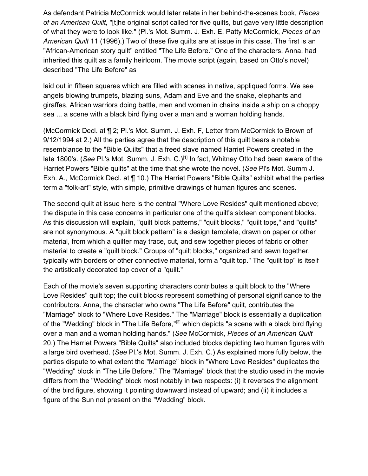As defendant Patricia McCormick would later relate in her behind-the-scenes book, *Pieces of an American Quilt,* "[t]he original script called for five quilts, but gave very little description of what they were to look like." (Pl.'s Mot. Summ. J. Exh. E, Patty McCormick, *Pieces of an American Quilt* 11 (1996).) Two of these five quilts are at issue in this case. The first is an "African-American story quilt" entitled "The Life Before." One of the characters, Anna, had inherited this quilt as a family heirloom. The movie script (again, based on Otto's novel) described "The Life Before" as

laid out in fifteen squares which are filled with scenes in native, appliqued forms. We see angels blowing trumpets, blazing suns, Adam and Eve and the snake, elephants and giraffes, African warriors doing battle, men and women in chains inside a ship on a choppy sea ... a scene with a black bird flying over a man and a woman holding hands.

(McCormick Decl. at ¶ 2; Pl.'s Mot. Summ. J. Exh. F, Letter from McCormick to Brown of 9/12/1994 at 2.) All the parties agree that the description of this quilt bears a notable resemblance to the "Bible Quilts" that a freed slave named Harriet Powers created in the late 1800's. (See Pl.'s Mot. Summ. J. Exh. C.)<sup>[1]</sup> In fact, Whitney Otto had been aware of the Harriet Powers "Bible quilts" at the time that she wrote the novel. (*See* Pl's Mot. Summ J. Exh. A., McCormick Decl. at ¶ 10.) The Harriet Powers "Bible Quilts" exhibit what the parties term a "folk-art" style, with simple, primitive drawings of human figures and scenes.

The second quilt at issue here is the central "Where Love Resides" quilt mentioned above; the dispute in this case concerns in particular one of the quilt's sixteen component blocks. As this discussion will explain, "quilt block patterns," "quilt blocks," "quilt tops," and "quilts" are not synonymous. A "quilt block pattern" is a design template, drawn on paper or other material, from which a quilter may trace, cut, and sew together pieces of fabric or other material to create a "quilt block." Groups of "quilt blocks," organized and sewn together, typically with borders or other connective material, form a "quilt top." The "quilt top" is itself the artistically decorated top cover of a "quilt."

Each of the movie's seven supporting characters contributes a quilt block to the "Where Love Resides" quilt top; the quilt blocks represent something of personal significance to the contributors. Anna, the character who owns "The Life Before" quilt, contributes the "Marriage" block to "Where Love Resides." The "Marriage" block is essentially a duplication of the "Wedding" block in "The Life Before,"<sup>[2]</sup> which depicts "a scene with a black bird flying over a man and a woman holding hands." (*See* McCormick, *Pieces of an American Quilt* 20.) The Harriet Powers "Bible Quilts" also included blocks depicting two human figures with a large bird overhead. (*See* Pl.'s Mot. Summ. J. Exh. C.) As explained more fully below, the parties dispute to what extent the "Marriage" block in "Where Love Resides" duplicates the "Wedding" block in "The Life Before." The "Marriage" block that the studio used in the movie differs from the "Wedding" block most notably in two respects: (i) it reverses the alignment of the bird figure, showing it pointing downward instead of upward; and (ii) it includes a figure of the Sun not present on the "Wedding" block.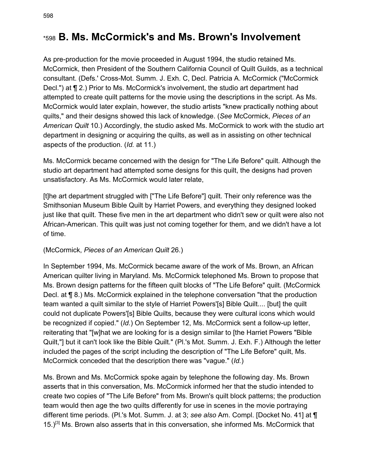### \*598 **B. Ms. McCormick's and Ms. Brown's Involvement**

As pre-production for the movie proceeded in August 1994, the studio retained Ms. McCormick, then President of the Southern California Council of Quilt Guilds, as a technical consultant. (Defs.' Cross-Mot. Summ. J. Exh. C, Decl. Patricia A. McCormick ("McCormick Decl.") at ¶ 2.) Prior to Ms. McCormick's involvement, the studio art department had attempted to create quilt patterns for the movie using the descriptions in the script. As Ms. McCormick would later explain, however, the studio artists "knew practically nothing about quilts," and their designs showed this lack of knowledge. (*See* McCormick, *Pieces of an American Quilt* 10.) Accordingly, the studio asked Ms. McCormick to work with the studio art department in designing or acquiring the quilts, as well as in assisting on other technical aspects of the production. (*Id.* at 11.)

Ms. McCormick became concerned with the design for "The Life Before" quilt. Although the studio art department had attempted some designs for this quilt, the designs had proven unsatisfactory. As Ms. McCormick would later relate,

[t]he art department struggled with ["The Life Before"] quilt. Their only reference was the Smithsonian Museum Bible Quilt by Harriet Powers, and everything they designed looked just like that quilt. These five men in the art department who didn't sew or quilt were also not African-American. This quilt was just not coming together for them, and we didn't have a lot of time.

#### (McCormick, *Pieces of an American Quilt* 26.)

In September 1994, Ms. McCormick became aware of the work of Ms. Brown, an African American quilter living in Maryland. Ms. McCormick telephoned Ms. Brown to propose that Ms. Brown design patterns for the fifteen quilt blocks of "The Life Before" quilt. (McCormick Decl. at ¶ 8.) Ms. McCormick explained in the telephone conversation "that the production team wanted a quilt similar to the style of Harriet Powers'[s] Bible Quilt.... [but] the quilt could not duplicate Powers'[s] Bible Quilts, because they were cultural icons which would be recognized if copied." (*Id.*) On September 12, Ms. McCormick sent a follow-up letter, reiterating that "[w]hat we are looking for is a design similar to [the Harriet Powers "Bible Quilt,"] but it can't look like the Bible Quilt." (Pl.'s Mot. Summ. J. Exh. F.) Although the letter included the pages of the script including the description of "The Life Before" quilt, Ms. McCormick conceded that the description there was "vague." (*Id.*)

Ms. Brown and Ms. McCormick spoke again by telephone the following day. Ms. Brown asserts that in this conversation, Ms. McCormick informed her that the studio intended to create two copies of "The Life Before" from Ms. Brown's quilt block patterns; the production team would then age the two quilts differently for use in scenes in the movie portraying different time periods. (Pl.'s Mot. Summ. J. at 3; *see also* Am. Compl. [Docket No. 41] at ¶ 15.)<sup>[3]</sup> Ms. Brown also asserts that in this conversation, she informed Ms. McCormick that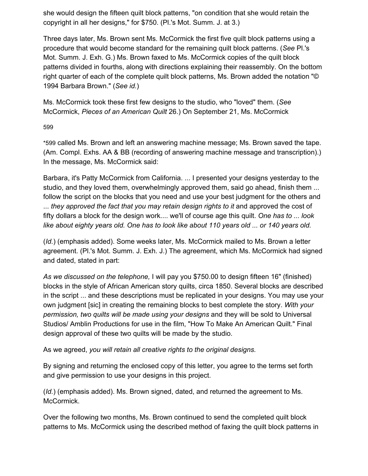she would design the fifteen quilt block patterns, "on condition that she would retain the copyright in all her designs," for \$750. (Pl.'s Mot. Summ. J. at 3.)

Three days later, Ms. Brown sent Ms. McCormick the first five quilt block patterns using a procedure that would become standard for the remaining quilt block patterns. (*See* Pl.'s Mot. Summ. J. Exh. G.) Ms. Brown faxed to Ms. McCormick copies of the quilt block patterns divided in fourths, along with directions explaining their reassembly. On the bottom right quarter of each of the complete quilt block patterns, Ms. Brown added the notation "© 1994 Barbara Brown." (*See id.*)

Ms. McCormick took these first few designs to the studio, who "loved" them. (*See* McCormick, *Pieces of an American Quilt* 26.) On September 21, Ms. McCormick

59[9](https://scholar.google.com/scholar_case?case=17076824367194323456&q=amblin&hl=en&as_sdt=6,33#p599)

\*599 called Ms. Brown and left an answering machine message; Ms. Brown saved the tape. (Am. Compl. Exhs. AA & BB (recording of answering machine message and transcription).) In the message, Ms. McCormick said:

Barbara, it's Patty McCormick from California. ... I presented your designs yesterday to the studio, and they loved them, overwhelmingly approved them, said go ahead, finish them ... follow the script on the blocks that you need and use your best judgment for the others and ... *they approved the fact that you may retain design rights to it* and approved the cost of fifty dollars a block for the design work.... we'll of course age this quilt. *One has to ... look like about eighty years old. One has to look like about 110 years old ... or 140 years old.*

(*Id.*) (emphasis added). Some weeks later, Ms. McCormick mailed to Ms. Brown a letter agreement. (Pl.'s Mot. Summ. J. Exh. J.) The agreement, which Ms. McCormick had signed and dated, stated in part:

*As we discussed on the telephone,* I will pay you \$750.00 to design fifteen 16" (finished) blocks in the style of African American story quilts, circa 1850. Several blocks are described in the script ... and these descriptions must be replicated in your designs. You may use your own judgment [sic] in creating the remaining blocks to best complete the story. *With your permission, two quilts will be made using your designs* and they will be sold to Universal Studios/ Amblin Productions for use in the film, "How To Make An American Quilt." Final design approval of these two quilts will be made by the studio.

As we agreed, *you will retain all creative rights to the original designs.*

By signing and returning the enclosed copy of this letter, you agree to the terms set forth and give permission to use your designs in this project.

(*Id.*) (emphasis added). Ms. Brown signed, dated, and returned the agreement to Ms. McCormick.

Over the following two months, Ms. Brown continued to send the completed quilt block patterns to Ms. McCormick using the described method of faxing the quilt block patterns in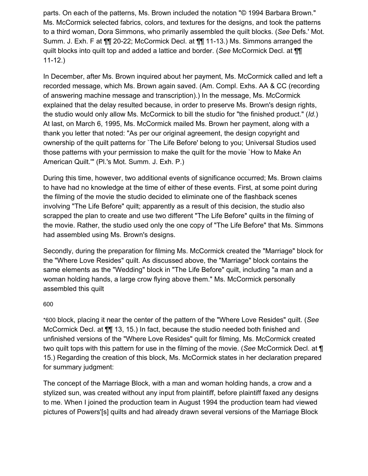parts. On each of the patterns, Ms. Brown included the notation "© 1994 Barbara Brown." Ms. McCormick selected fabrics, colors, and textures for the designs, and took the patterns to a third woman, Dora Simmons, who primarily assembled the quilt blocks. (*See* Defs.' Mot. Summ. J. Exh. F at ¶¶ 20-22; McCormick Decl. at ¶¶ 11-13.) Ms. Simmons arranged the quilt blocks into quilt top and added a lattice and border. (*See* McCormick Decl. at ¶¶ 11-12.)

In December, after Ms. Brown inquired about her payment, Ms. McCormick called and left a recorded message, which Ms. Brown again saved. (Am. Compl. Exhs. AA & CC (recording of answering machine message and transcription).) In the message, Ms. McCormick explained that the delay resulted because, in order to preserve Ms. Brown's design rights, the studio would only allow Ms. McCormick to bill the studio for "the finished product." (*Id.*) At last, on March 6, 1995, Ms. McCormick mailed Ms. Brown her payment, along with a thank you letter that noted: "As per our original agreement, the design copyright and ownership of the quilt patterns for `The Life Before' belong to you; Universal Studios used those patterns with your permission to make the quilt for the movie `How to Make An American Quilt.'" (Pl.'s Mot. Summ. J. Exh. P.)

During this time, however, two additional events of significance occurred; Ms. Brown claims to have had no knowledge at the time of either of these events. First, at some point during the filming of the movie the studio decided to eliminate one of the flashback scenes involving "The Life Before" quilt; apparently as a result of this decision, the studio also scrapped the plan to create and use two different "The Life Before" quilts in the filming of the movie. Rather, the studio used only the one copy of "The Life Before" that Ms. Simmons had assembled using Ms. Brown's designs.

Secondly, during the preparation for filming Ms. McCormick created the "Marriage" block for the "Where Love Resides" quilt. As discussed above, the "Marriage" block contains the same elements as the "Wedding" block in "The Life Before" quilt, including "a man and a woman holding hands, a large crow flying above them." Ms. McCormick personally assembled this quilt

#### 60[0](https://scholar.google.com/scholar_case?case=17076824367194323456&q=amblin&hl=en&as_sdt=6,33#p600)

\*600 block, placing it near the center of the pattern of the "Where Love Resides" quilt. (*See* McCormick Decl. at ¶¶ 13, 15.) In fact, because the studio needed both finished and unfinished versions of the "Where Love Resides" quilt for filming, Ms. McCormick created two quilt tops with this pattern for use in the filming of the movie. (*See* McCormick Decl. at ¶ 15.) Regarding the creation of this block, Ms. McCormick states in her declaration prepared for summary judgment:

The concept of the Marriage Block, with a man and woman holding hands, a crow and a stylized sun, was created without any input from plaintiff, before plaintiff faxed any designs to me. When I joined the production team in August 1994 the production team had viewed pictures of Powers'[s] quilts and had already drawn several versions of the Marriage Block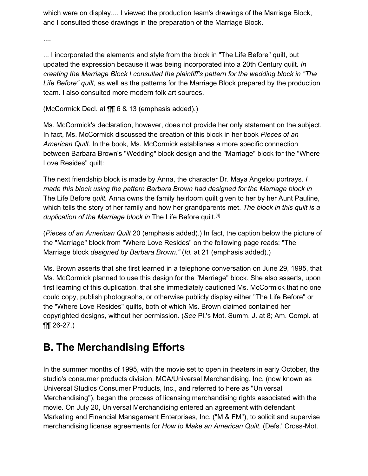which were on display.... I viewed the production team's drawings of the Marriage Block, and I consulted those drawings in the preparation of the Marriage Block.

....

... I incorporated the elements and style from the block in "The Life Before" quilt, but updated the expression because it was being incorporated into a 20th Century quilt. *In creating the Marriage Block I consulted the plaintiff's pattern for the wedding block in "The Life Before" quilt,* as well as the patterns for the Marriage Block prepared by the production team. I also consulted more modern folk art sources.

(McCormick Decl. at ¶¶ 6 & 13 (emphasis added).)

Ms. McCormick's declaration, however, does not provide her only statement on the subject. In fact, Ms. McCormick discussed the creation of this block in her book *Pieces of an American Quilt.* In the book, Ms. McCormick establishes a more specific connection between Barbara Brown's "Wedding" block design and the "Marriage" block for the "Where Love Resides" quilt:

The next friendship block is made by Anna, the character Dr. Maya Angelou portrays. *I made this block using the pattern Barbara Brown had designed for the Marriage block in* The Life Before *quilt.* Anna owns the family heirloom quilt given to her by her Aunt Pauline, which tells the story of her family and how her grandparents met. *The block in this quilt is a duplication of the Marriage block in* The Life Before quilt. [4]

(*Pieces of an American Quilt* 20 (emphasis added).) In fact, the caption below the picture of the "Marriage" block from "Where Love Resides" on the following page reads: "The Marriage block *designed by Barbara Brown."* (*Id.* at 21 (emphasis added).)

Ms. Brown asserts that she first learned in a telephone conversation on June 29, 1995, that Ms. McCormick planned to use this design for the "Marriage" block. She also asserts, upon first learning of this duplication, that she immediately cautioned Ms. McCormick that no one could copy, publish photographs, or otherwise publicly display either "The Life Before" or the "Where Love Resides" quilts, both of which Ms. Brown claimed contained her copyrighted designs, without her permission. (*See* Pl.'s Mot. Summ. J. at 8; Am. Compl. at ¶¶ 26-27.)

## **B. The Merchandising Efforts**

In the summer months of 1995, with the movie set to open in theaters in early October, the studio's consumer products division, MCA/Universal Merchandising, Inc. (now known as Universal Studios Consumer Products, Inc., and referred to here as "Universal Merchandising"), began the process of licensing merchandising rights associated with the movie. On July 20, Universal Merchandising entered an agreement with defendant Marketing and Financial Management Enterprises, Inc. ("M & FM"), to solicit and supervise merchandising license agreements for *How to Make an American Quilt.* (Defs.' Cross-Mot.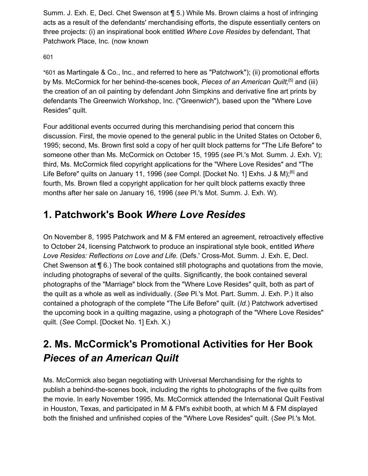Summ. J. Exh. E, Decl. Chet Swenson at ¶ 5.) While Ms. Brown claims a host of infringing acts as a result of the defendants' merchandising efforts, the dispute essentially centers on three projects: (i) an inspirational book entitled *Where Love Resides* by defendant, That Patchwork Place, Inc. (now known

#### 60[1](https://scholar.google.com/scholar_case?case=17076824367194323456&q=amblin&hl=en&as_sdt=6,33#p601)

\*601 as Martingale & Co., Inc., and referred to here as "Patchwork"); (ii) promotional efforts by Ms. McCormick for her behind-the-scenes book, *Pieces of an American Quilt;* [5] and (iii) the creation of an oil painting by defendant John Simpkins and derivative fine art prints by defendants The Greenwich Workshop, Inc. ("Greenwich"), based upon the "Where Love Resides" quilt.

Four additional events occurred during this merchandising period that concern this discussion. First, the movie opened to the general public in the United States on October 6, 1995; second, Ms. Brown first sold a copy of her quilt block patterns for "The Life Before" to someone other than Ms. McCormick on October 15, 1995 (*see* Pl.'s Mot. Summ. J. Exh. V); third, Ms. McCormick filed copyright applications for the "Where Love Resides" and "The Life Before" quilts on January 11, 1996 (see Compl. [Docket No. 1] Exhs. J & M);<sup>[6]</sup> and fourth, Ms. Brown filed a copyright application for her quilt block patterns exactly three months after her sale on January 16, 1996 (*see* Pl.'s Mot. Summ. J. Exh. W).

## **1. Patchwork's Book** *Where Love Resides*

On November 8, 1995 Patchwork and M & FM entered an agreement, retroactively effective to October 24, licensing Patchwork to produce an inspirational style book, entitled *Where Love Resides: Reflections on Love and Life.* (Defs.' Cross-Mot. Summ. J. Exh. E, Decl. Chet Swenson at ¶ 6.) The book contained still photographs and quotations from the movie, including photographs of several of the quilts. Significantly, the book contained several photographs of the "Marriage" block from the "Where Love Resides" quilt, both as part of the quilt as a whole as well as individually. (*See* Pl.'s Mot. Part. Summ. J. Exh. P.) It also contained a photograph of the complete "The Life Before" quilt. (*Id.*) Patchwork advertised the upcoming book in a quilting magazine, using a photograph of the "Where Love Resides" quilt. (*See* Compl. [Docket No. 1] Exh. X.)

## **2. Ms. McCormick's Promotional Activities for Her Book** *Pieces of an American Quilt*

Ms. McCormick also began negotiating with Universal Merchandising for the rights to publish a behind-the-scenes book, including the rights to photographs of the five quilts from the movie. In early November 1995, Ms. McCormick attended the International Quilt Festival in Houston, Texas, and participated in M & FM's exhibit booth, at which M & FM displayed both the finished and unfinished copies of the "Where Love Resides" quilt. (*See* Pl.'s Mot.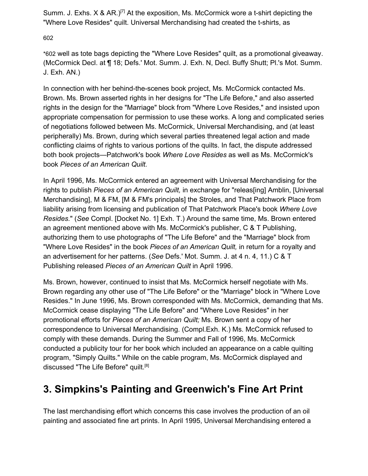Summ. J. Exhs.  $X \& AR.$ <sup>[7]</sup> At the exposition, Ms. McCormick wore a t-shirt depicting the "Where Love Resides" quilt. Universal Merchandising had created the t-shirts, as

60[2](https://scholar.google.com/scholar_case?case=17076824367194323456&q=amblin&hl=en&as_sdt=6,33#p602)

\*602 well as tote bags depicting the "Where Love Resides" quilt, as a promotional giveaway. (McCormick Decl. at ¶ 18; Defs.' Mot. Summ. J. Exh. N, Decl. Buffy Shutt; Pl.'s Mot. Summ. J. Exh. AN.)

In connection with her behind-the-scenes book project, Ms. McCormick contacted Ms. Brown. Ms. Brown asserted rights in her designs for "The Life Before," and also asserted rights in the design for the "Marriage" block from "Where Love Resides," and insisted upon appropriate compensation for permission to use these works. A long and complicated series of negotiations followed between Ms. McCormick, Universal Merchandising, and (at least peripherally) Ms. Brown, during which several parties threatened legal action and made conflicting claims of rights to various portions of the quilts. In fact, the dispute addressed both book projects—Patchwork's book *Where Love Resides* as well as Ms. McCormick's book *Pieces of an American Quilt.*

In April 1996, Ms. McCormick entered an agreement with Universal Merchandising for the rights to publish *Pieces of an American Quilt,* in exchange for "releas[ing] Amblin, [Universal Merchandising], M & FM, [M & FM's principals] the Stroles, and That Patchwork Place from liability arising from licensing and publication of That Patchwork Place's book *Where Love Resides.*" (*See* Compl. [Docket No. 1] Exh. T.) Around the same time, Ms. Brown entered an agreement mentioned above with Ms. McCormick's publisher, C & T Publishing, authorizing them to use photographs of "The Life Before" and the "Marriage" block from "Where Love Resides" in the book *Pieces of an American Quilt,* in return for a royalty and an advertisement for her patterns. (*See* Defs.' Mot. Summ. J. at 4 n. 4, 11.) C & T Publishing released *Pieces of an American Quilt* in April 1996.

Ms. Brown, however, continued to insist that Ms. McCormick herself negotiate with Ms. Brown regarding any other use of "The Life Before" or the "Marriage" block in "Where Love Resides." In June 1996, Ms. Brown corresponded with Ms. McCormick, demanding that Ms. McCormick cease displaying "The Life Before" and "Where Love Resides" in her promotional efforts for *Pieces of an American Quilt;* Ms. Brown sent a copy of her correspondence to Universal Merchandising. (Compl.Exh. K.) Ms. McCormick refused to comply with these demands. During the Summer and Fall of 1996, Ms. McCormick conducted a publicity tour for her book which included an appearance on a cable quilting program, "Simply Quilts." While on the cable program, Ms. McCormick displayed and discussed "The Life Before" quilt.<sup>[8]</sup>

# **3. Simpkins's Painting and Greenwich's Fine Art Print**

The last merchandising effort which concerns this case involves the production of an oil painting and associated fine art prints. In April 1995, Universal Merchandising entered a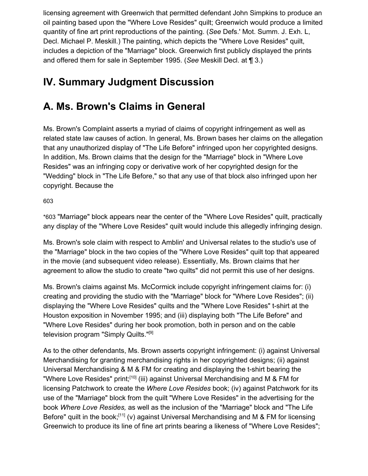licensing agreement with Greenwich that permitted defendant John Simpkins to produce an oil painting based upon the "Where Love Resides" quilt; Greenwich would produce a limited quantity of fine art print reproductions of the painting. (*See* Defs.' Mot. Summ. J. Exh. L, Decl. Michael P. Meskill.) The painting, which depicts the "Where Love Resides" quilt, includes a depiction of the "Marriage" block. Greenwich first publicly displayed the prints and offered them for sale in September 1995. (*See* Meskill Decl. at ¶ 3.)

## **IV. Summary Judgment Discussion**

## **A. Ms. Brown's Claims in General**

Ms. Brown's Complaint asserts a myriad of claims of copyright infringement as well as related state law causes of action. In general, Ms. Brown bases her claims on the allegation that any unauthorized display of "The Life Before" infringed upon her copyrighted designs. In addition, Ms. Brown claims that the design for the "Marriage" block in "Where Love Resides" was an infringing copy or derivative work of her copyrighted design for the "Wedding" block in "The Life Before," so that any use of that block also infringed upon her copyright. Because the

60[3](https://scholar.google.com/scholar_case?case=17076824367194323456&q=amblin&hl=en&as_sdt=6,33#p603)

\*603 "Marriage" block appears near the center of the "Where Love Resides" quilt, practically any display of the "Where Love Resides" quilt would include this allegedly infringing design.

Ms. Brown's sole claim with respect to Amblin' and Universal relates to the studio's use of the "Marriage" block in the two copies of the "Where Love Resides" quilt top that appeared in the movie (and subsequent video release). Essentially, Ms. Brown claims that her agreement to allow the studio to create "two quilts" did not permit this use of her designs.

Ms. Brown's claims against Ms. McCormick include copyright infringement claims for: (i) creating and providing the studio with the "Marriage" block for "Where Love Resides"; (ii) displaying the "Where Love Resides" quilts and the "Where Love Resides" t-shirt at the Houston exposition in November 1995; and (iii) displaying both "The Life Before" and "Where Love Resides" during her book promotion, both in person and on the cable television program "Simply Quilts."<sup>[9]</sup>

As to the other defendants, Ms. Brown asserts copyright infringement: (i) against Universal Merchandising for granting merchandising rights in her copyrighted designs; (ii) against Universal Merchandising & M & FM for creating and displaying the t-shirt bearing the "Where Love Resides" print;<sup>[10]</sup> (iii) against Universal Merchandising and M & FM for licensing Patchwork to create the *Where Love Resides* book; (iv) against Patchwork for its use of the "Marriage" block from the quilt "Where Love Resides" in the advertising for the book *Where Love Resides,* as well as the inclusion of the "Marriage" block and "The Life Before" quilt in the book;<sup>[11]</sup> (v) against Universal Merchandising and M & FM for licensing Greenwich to produce its line of fine art prints bearing a likeness of "Where Love Resides";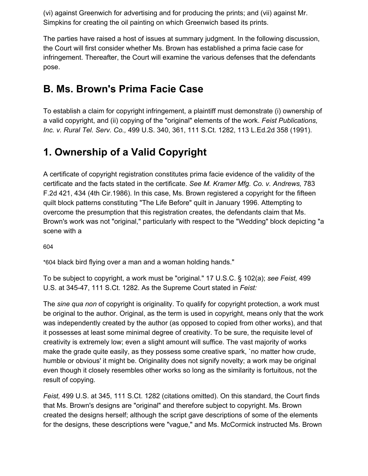(vi) against Greenwich for advertising and for producing the prints; and (vii) against Mr. Simpkins for creating the oil painting on which Greenwich based its prints.

The parties have raised a host of issues at summary judgment. In the following discussion, the Court will first consider whether Ms. Brown has established a prima facie case for infringement. Thereafter, the Court will examine the various defenses that the defendants pose.

## **B. Ms. Brown's Prima Facie Case**

To establish a claim for copyright infringement, a plaintiff must demonstrate (i) ownership of a valid copyright, and (ii) copying of the "original" elements of the work. *Feist Publications, Inc. v. Rural Tel. Serv. Co.,* 499 U.S. 340, 361, 111 S.Ct. 1282, 113 L.Ed.2d 358 (1991).

## **1. Ownership of a Valid Copyright**

A certificate of copyright registration constitutes prima facie evidence of the validity of the certificate and the facts stated in the certificate. *See M. Kramer Mfg. Co. v. Andrews,* 783 F.2d 421, 434 (4th Cir.1986). In this case, Ms. Brown registered a copyright for the fifteen quilt block patterns constituting "The Life Before" quilt in January 1996. Attempting to overcome the presumption that this registration creates, the defendants claim that Ms. Brown's work was not "original," particularly with respect to the "Wedding" block depicting "a scene with a

60[4](https://scholar.google.com/scholar_case?case=17076824367194323456&q=amblin&hl=en&as_sdt=6,33#p604)

\*604 black bird flying over a man and a woman holding hands."

To be subject to copyright, a work must be "original." 17 U.S.C. § 102(a); *see Feist,* 499 U.S. at 345-47, 111 S.Ct. 1282. As the Supreme Court stated in *Feist:*

The *sine qua non* of copyright is originality. To qualify for copyright protection, a work must be original to the author. Original, as the term is used in copyright, means only that the work was independently created by the author (as opposed to copied from other works), and that it possesses at least some minimal degree of creativity. To be sure, the requisite level of creativity is extremely low; even a slight amount will suffice. The vast majority of works make the grade quite easily, as they possess some creative spark, `no matter how crude, humble or obvious' it might be. Originality does not signify novelty; a work may be original even though it closely resembles other works so long as the similarity is fortuitous, not the result of copying.

*Feist,* 499 U.S. at 345, 111 S.Ct. 1282 (citations omitted). On this standard, the Court finds that Ms. Brown's designs are "original" and therefore subject to copyright. Ms. Brown created the designs herself; although the script gave descriptions of some of the elements for the designs, these descriptions were "vague," and Ms. McCormick instructed Ms. Brown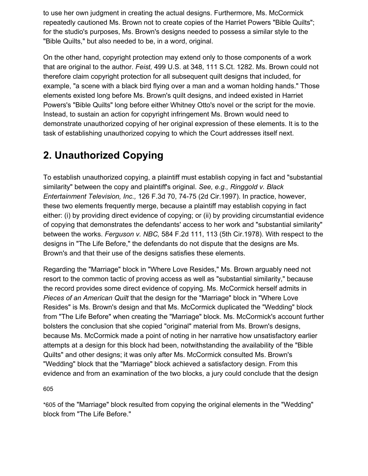to use her own judgment in creating the actual designs. Furthermore, Ms. McCormick repeatedly cautioned Ms. Brown not to create copies of the Harriet Powers "Bible Quilts"; for the studio's purposes, Ms. Brown's designs needed to possess a similar style to the "Bible Quilts," but also needed to be, in a word, original.

On the other hand, copyright protection may extend only to those components of a work that are original to the author. *Feist,* 499 U.S. at 348, 111 S.Ct. 1282. Ms. Brown could not therefore claim copyright protection for all subsequent quilt designs that included, for example, "a scene with a black bird flying over a man and a woman holding hands." Those elements existed long before Ms. Brown's quilt designs, and indeed existed in Harriet Powers's "Bible Quilts" long before either Whitney Otto's novel or the script for the movie. Instead, to sustain an action for copyright infringement Ms. Brown would need to demonstrate unauthorized copying of her original expression of these elements. It is to the task of establishing unauthorized copying to which the Court addresses itself next.

## **2. Unauthorized Copying**

To establish unauthorized copying, a plaintiff must establish copying in fact and "substantial similarity" between the copy and plaintiff's original. *See, e.g., Ringgold v. Black Entertainment Television, Inc.,* 126 F.3d 70, 74-75 (2d Cir.1997). In practice, however, these two elements frequently merge, because a plaintiff may establish copying in fact either: (i) by providing direct evidence of copying; or (ii) by providing circumstantial evidence of copying that demonstrates the defendants' access to her work and "substantial similarity" between the works. *Ferguson v. NBC,* 584 F.2d 111, 113 (5th Cir.1978). With respect to the designs in "The Life Before," the defendants do not dispute that the designs are Ms. Brown's and that their use of the designs satisfies these elements.

Regarding the "Marriage" block in "Where Love Resides," Ms. Brown arguably need not resort to the common tactic of proving access as well as "substantial similarity," because the record provides some direct evidence of copying. Ms. McCormick herself admits in *Pieces of an American Quilt* that the design for the "Marriage" block in "Where Love Resides" is Ms. Brown's design and that Ms. McCormick duplicated the "Wedding" block from "The Life Before" when creating the "Marriage" block. Ms. McCormick's account further bolsters the conclusion that she copied "original" material from Ms. Brown's designs, because Ms. McCormick made a point of noting in her narrative how unsatisfactory earlier attempts at a design for this block had been, notwithstanding the availability of the "Bible Quilts" and other designs; it was only after Ms. McCormick consulted Ms. Brown's "Wedding" block that the "Marriage" block achieved a satisfactory design. From this evidence and from an examination of the two blocks, a jury could conclude that the design

60[5](https://scholar.google.com/scholar_case?case=17076824367194323456&q=amblin&hl=en&as_sdt=6,33#p605)

\*605 of the "Marriage" block resulted from copying the original elements in the "Wedding" block from "The Life Before."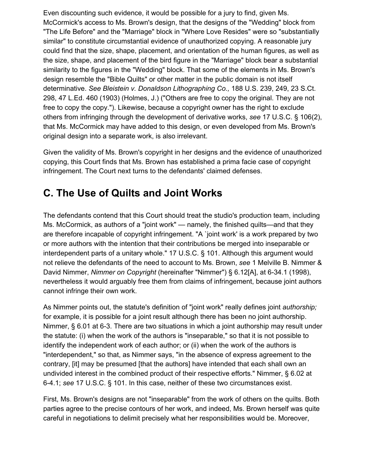Even discounting such evidence, it would be possible for a jury to find, given Ms. McCormick's access to Ms. Brown's design, that the designs of the "Wedding" block from "The Life Before" and the "Marriage" block in "Where Love Resides" were so "substantially similar" to constitute circumstantial evidence of unauthorized copying. A reasonable jury could find that the size, shape, placement, and orientation of the human figures, as well as the size, shape, and placement of the bird figure in the "Marriage" block bear a substantial similarity to the figures in the "Wedding" block. That some of the elements in Ms. Brown's design resemble the "Bible Quilts" or other matter in the public domain is not itself determinative. *See Bleistein v. Donaldson Lithographing Co.,* 188 U.S. 239, 249, 23 S.Ct. 298, 47 L.Ed. 460 (1903) (Holmes, J.) ("Others are free to copy the original. They are not free to copy the copy."). Likewise, because a copyright owner has the right to exclude others from infringing through the development of derivative works, *see* 17 U.S.C. § 106(2), that Ms. McCormick may have added to this design, or even developed from Ms. Brown's original design into a separate work, is also irrelevant.

Given the validity of Ms. Brown's copyright in her designs and the evidence of unauthorized copying, this Court finds that Ms. Brown has established a prima facie case of copyright infringement. The Court next turns to the defendants' claimed defenses.

## **C. The Use of Quilts and Joint Works**

The defendants contend that this Court should treat the studio's production team, including Ms. McCormick, as authors of a "joint work" — namely, the finished quilts—and that they are therefore incapable of copyright infringement. "A `joint work' is a work prepared by two or more authors with the intention that their contributions be merged into inseparable or interdependent parts of a unitary whole." 17 U.S.C. § 101. Although this argument would not relieve the defendants of the need to account to Ms. Brown, *see* 1 Melville B. Nimmer & David Nimmer, *Nimmer on Copyright* (hereinafter "Nimmer") § 6.12[A], at 6-34.1 (1998), nevertheless it would arguably free them from claims of infringement, because joint authors cannot infringe their own work.

As Nimmer points out, the statute's definition of "joint work" really defines joint *authorship;* for example, it is possible for a joint result although there has been no joint authorship. Nimmer, § 6.01 at 6-3. There are two situations in which a joint authorship may result under the statute: (i) when the work of the authors is "inseparable," so that it is not possible to identify the independent work of each author; or (ii) when the work of the authors is "interdependent," so that, as Nimmer says, "in the absence of express agreement to the contrary, [it] may be presumed [that the authors] have intended that each shall own an undivided interest in the combined product of their respective efforts." Nimmer, § 6.02 at 6-4.1; *see* 17 U.S.C. § 101. In this case, neither of these two circumstances exist.

First, Ms. Brown's designs are not "inseparable" from the work of others on the quilts. Both parties agree to the precise contours of her work, and indeed, Ms. Brown herself was quite careful in negotiations to delimit precisely what her responsibilities would be. Moreover,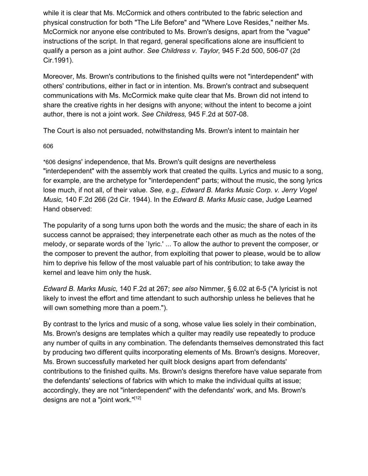while it is clear that Ms. McCormick and others contributed to the fabric selection and physical construction for both "The Life Before" and "Where Love Resides," neither Ms. McCormick nor anyone else contributed to Ms. Brown's designs, apart from the "vague" instructions of the script. In that regard, general specifications alone are insufficient to qualify a person as a joint author. *See Childress v. Taylor,* 945 F.2d 500, 506-07 (2d Cir.1991).

Moreover, Ms. Brown's contributions to the finished quilts were not "interdependent" with others' contributions, either in fact or in intention. Ms. Brown's contract and subsequent communications with Ms. McCormick make quite clear that Ms. Brown did not intend to share the creative rights in her designs with anyone; without the intent to become a joint author, there is not a joint work. *See Childress,* 945 F.2d at 507-08.

The Court is also not persuaded, notwithstanding Ms. Brown's intent to maintain her

60[6](https://scholar.google.com/scholar_case?case=17076824367194323456&q=amblin&hl=en&as_sdt=6,33#p606)

\*606 designs' independence, that Ms. Brown's quilt designs are nevertheless "interdependent" with the assembly work that created the quilts. Lyrics and music to a song, for example, are the archetype for "interdependent" parts; without the music, the song lyrics lose much, if not all, of their value. *See, e.g., Edward B. Marks Music Corp. v. Jerry Vogel Music,* 140 F.2d 266 (2d Cir. 1944). In the *Edward B. Marks Music* case, Judge Learned Hand observed:

The popularity of a song turns upon both the words and the music; the share of each in its success cannot be appraised; they interpenetrate each other as much as the notes of the melody, or separate words of the `lyric.' ... To allow the author to prevent the composer, or the composer to prevent the author, from exploiting that power to please, would be to allow him to deprive his fellow of the most valuable part of his contribution; to take away the kernel and leave him only the husk.

*Edward B. Marks Music,* 140 F.2d at 267; *see also* Nimmer, § 6.02 at 6-5 ("A lyricist is not likely to invest the effort and time attendant to such authorship unless he believes that he will own something more than a poem.").

By contrast to the lyrics and music of a song, whose value lies solely in their combination, Ms. Brown's designs are templates which a quilter may readily use repeatedly to produce any number of quilts in any combination. The defendants themselves demonstrated this fact by producing two different quilts incorporating elements of Ms. Brown's designs. Moreover, Ms. Brown successfully marketed her quilt block designs apart from defendants' contributions to the finished quilts. Ms. Brown's designs therefore have value separate from the defendants' selections of fabrics with which to make the individual quilts at issue; accordingly, they are not "interdependent" with the defendants' work, and Ms. Brown's designs are not a "joint work."<sup>[12]</sup>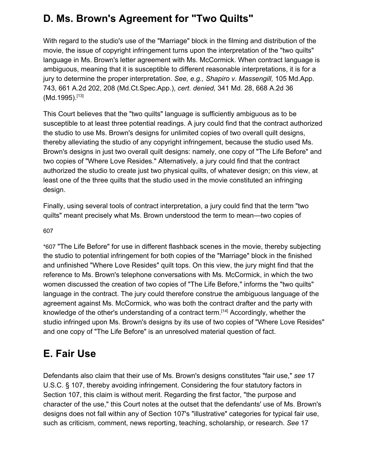# **D. Ms. Brown's Agreement for "Two Quilts"**

With regard to the studio's use of the "Marriage" block in the filming and distribution of the movie, the issue of copyright infringement turns upon the interpretation of the "two quilts" language in Ms. Brown's letter agreement with Ms. McCormick. When contract language is ambiguous, meaning that it is susceptible to different reasonable interpretations, it is for a jury to determine the proper interpretation. *See, e.g., Shapiro v. Massengill,* 105 Md.App. 743, 661 A.2d 202, 208 (Md.Ct.Spec.App.), *cert. denied,* 341 Md. 28, 668 A.2d 36 (Md.1995).<sup>[13]</sup>

This Court believes that the "two quilts" language is sufficiently ambiguous as to be susceptible to at least three potential readings. A jury could find that the contract authorized the studio to use Ms. Brown's designs for unlimited copies of two overall quilt designs, thereby alleviating the studio of any copyright infringement, because the studio used Ms. Brown's designs in just two overall quilt designs: namely, one copy of "The Life Before" and two copies of "Where Love Resides." Alternatively, a jury could find that the contract authorized the studio to create just two physical quilts, of whatever design; on this view, at least one of the three quilts that the studio used in the movie constituted an infringing design.

Finally, using several tools of contract interpretation, a jury could find that the term "two quilts" meant precisely what Ms. Brown understood the term to mean—two copies of

#### 60[7](https://scholar.google.com/scholar_case?case=17076824367194323456&q=amblin&hl=en&as_sdt=6,33#p607)

\*607 "The Life Before" for use in different flashback scenes in the movie, thereby subjecting the studio to potential infringement for both copies of the "Marriage" block in the finished and unfinished "Where Love Resides" quilt tops. On this view, the jury might find that the reference to Ms. Brown's telephone conversations with Ms. McCormick, in which the two women discussed the creation of two copies of "The Life Before," informs the "two quilts" language in the contract. The jury could therefore construe the ambiguous language of the agreement against Ms. McCormick, who was both the contract drafter and the party with knowledge of the other's understanding of a contract term.<sup>[14]</sup> Accordingly, whether the studio infringed upon Ms. Brown's designs by its use of two copies of "Where Love Resides" and one copy of "The Life Before" is an unresolved material question of fact.

## **E. Fair Use**

Defendants also claim that their use of Ms. Brown's designs constitutes "fair use," *see* 17 U.S.C. § 107, thereby avoiding infringement. Considering the four statutory factors in Section 107, this claim is without merit. Regarding the first factor, "the purpose and character of the use," this Court notes at the outset that the defendants' use of Ms. Brown's designs does not fall within any of Section 107's "illustrative" categories for typical fair use, such as criticism, comment, news reporting, teaching, scholarship, or research. *See* 17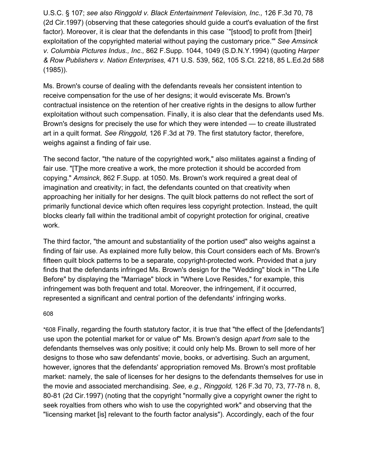U.S.C. § 107; *see also Ringgold v. Black Entertainment Television, Inc.,* 126 F.3d 70, 78 (2d Cir.1997) (observing that these categories should guide a court's evaluation of the first factor). Moreover, it is clear that the defendants in this case `"[stood] to profit from [their] exploitation of the copyrighted material without paying the customary price.'" *See Amsinck v. Columbia Pictures Indus., Inc.,* 862 F.Supp. 1044, 1049 (S.D.N.Y.1994) (quoting *Harper & Row Publishers v. Nation Enterprises,* 471 U.S. 539, 562, 105 S.Ct. 2218, 85 L.Ed.2d 588 (1985)).

Ms. Brown's course of dealing with the defendants reveals her consistent intention to receive compensation for the use of her designs; it would eviscerate Ms. Brown's contractual insistence on the retention of her creative rights in the designs to allow further exploitation without such compensation. Finally, it is also clear that the defendants used Ms. Brown's designs for precisely the use for which they were intended — to create illustrated art in a quilt format. *See Ringgold,* 126 F.3d at 79. The first statutory factor, therefore, weighs against a finding of fair use.

The second factor, "the nature of the copyrighted work," also militates against a finding of fair use. "[T]he more creative a work, the more protection it should be accorded from copying." *Amsinck,* 862 F.Supp. at 1050. Ms. Brown's work required a great deal of imagination and creativity; in fact, the defendants counted on that creativity when approaching her initially for her designs. The quilt block patterns do not reflect the sort of primarily functional device which often requires less copyright protection. Instead, the quilt blocks clearly fall within the traditional ambit of copyright protection for original, creative work.

The third factor, "the amount and substantiality of the portion used" also weighs against a finding of fair use. As explained more fully below, this Court considers each of Ms. Brown's fifteen quilt block patterns to be a separate, copyright-protected work. Provided that a jury finds that the defendants infringed Ms. Brown's design for the "Wedding" block in "The Life Before" by displaying the "Marriage" block in "Where Love Resides," for example, this infringement was both frequent and total. Moreover, the infringement, if it occurred, represented a significant and central portion of the defendants' infringing works.

#### 60[8](https://scholar.google.com/scholar_case?case=17076824367194323456&q=amblin&hl=en&as_sdt=6,33#p608)

\*608 Finally, regarding the fourth statutory factor, it is true that "the effect of the [defendants'] use upon the potential market for or value of" Ms. Brown's design *apart from* sale to the defendants themselves was only positive; it could only help Ms. Brown to sell more of her designs to those who saw defendants' movie, books, or advertising. Such an argument, however, ignores that the defendants' appropriation removed Ms. Brown's most profitable market: namely, the sale of licenses for her designs to the defendants themselves for use in the movie and associated merchandising. *See, e.g., Ringgold,* 126 F.3d 70, 73, 77-78 n. 8, 80-81 (2d Cir.1997) (noting that the copyright "normally give a copyright owner the right to seek royalties from others who wish to use the copyrighted work" and observing that the "licensing market [is] relevant to the fourth factor analysis"). Accordingly, each of the four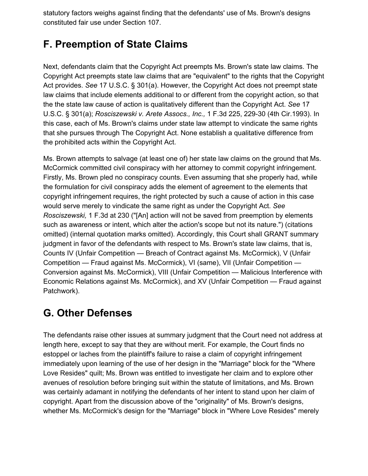statutory factors weighs against finding that the defendants' use of Ms. Brown's designs constituted fair use under Section 107.

## **F. Preemption of State Claims**

Next, defendants claim that the Copyright Act preempts Ms. Brown's state law claims. The Copyright Act preempts state law claims that are "equivalent" to the rights that the Copyright Act provides. *See* 17 U.S.C. § 301(a). However, the Copyright Act does not preempt state law claims that include elements additional to or different from the copyright action, so that the the state law cause of action is qualitatively different than the Copyright Act. *See* 17 U.S.C. § 301(a); *Rosciszewski v. Arete Assocs., Inc.,* 1 F.3d 225, 229-30 (4th Cir.1993). In this case, each of Ms. Brown's claims under state law attempt to vindicate the same rights that she pursues through The Copyright Act. None establish a qualitative difference from the prohibited acts within the Copyright Act.

Ms. Brown attempts to salvage (at least one of) her state law claims on the ground that Ms. McCormick committed civil conspiracy with her attorney to commit copyright infringement. Firstly, Ms. Brown pled no conspiracy counts. Even assuming that she properly had, while the formulation for civil conspiracy adds the element of agreement to the elements that copyright infringement requires, the right protected by such a cause of action in this case would serve merely to vindicate the same right as under the Copyright Act. *See Rosciszewski,* 1 F.3d at 230 ("[An] action will not be saved from preemption by elements such as awareness or intent, which alter the action's scope but not its nature.") (citations omitted) (internal quotation marks omitted). Accordingly, this Court shall GRANT summary judgment in favor of the defendants with respect to Ms. Brown's state law claims, that is, Counts IV (Unfair Competition — Breach of Contract against Ms. McCormick), V (Unfair Competition — Fraud against Ms. McCormick), VI (same), VII (Unfair Competition — Conversion against Ms. McCormick), VIII (Unfair Competition — Malicious Interference with Economic Relations against Ms. McCormick), and XV (Unfair Competition — Fraud against Patchwork).

## **G. Other Defenses**

The defendants raise other issues at summary judgment that the Court need not address at length here, except to say that they are without merit. For example, the Court finds no estoppel or laches from the plaintiff's failure to raise a claim of copyright infringement immediately upon learning of the use of her design in the "Marriage" block for the "Where Love Resides" quilt; Ms. Brown was entitled to investigate her claim and to explore other avenues of resolution before bringing suit within the statute of limitations, and Ms. Brown was certainly adamant in notifying the defendants of her intent to stand upon her claim of copyright. Apart from the discussion above of the "originality" of Ms. Brown's designs, whether Ms. McCormick's design for the "Marriage" block in "Where Love Resides" merely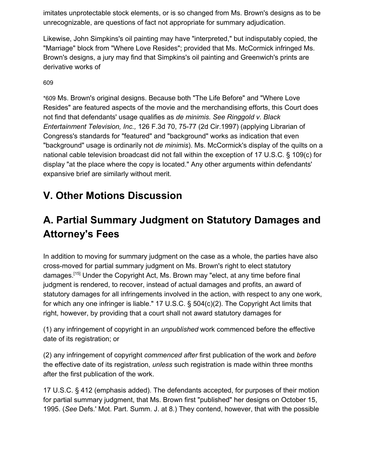imitates unprotectable stock elements, or is so changed from Ms. Brown's designs as to be unrecognizable, are questions of fact not appropriate for summary adjudication.

Likewise, John Simpkins's oil painting may have "interpreted," but indisputably copied, the "Marriage" block from "Where Love Resides"; provided that Ms. McCormick infringed Ms. Brown's designs, a jury may find that Simpkins's oil painting and Greenwich's prints are derivative works of

60[9](https://scholar.google.com/scholar_case?case=17076824367194323456&q=amblin&hl=en&as_sdt=6,33#p609)

\*609 Ms. Brown's original designs. Because both "The Life Before" and "Where Love Resides" are featured aspects of the movie and the merchandising efforts, this Court does not find that defendants' usage qualifies as *de minimis. See Ringgold v. Black Entertainment Television, Inc.,* 126 F.3d 70, 75-77 (2d Cir.1997) (applying Librarian of Congress's standards for "featured" and "background" works as indication that even "background" usage is ordinarily not *de minimis*). Ms. McCormick's display of the quilts on a national cable television broadcast did not fall within the exception of 17 U.S.C. § 109(c) for display "at the place where the copy is located." Any other arguments within defendants' expansive brief are similarly without merit.

## **V. Other Motions Discussion**

# **A. Partial Summary Judgment on Statutory Damages and Attorney's Fees**

In addition to moving for summary judgment on the case as a whole, the parties have also cross-moved for partial summary judgment on Ms. Brown's right to elect statutory damages.<sup>[15]</sup> Under the Copyright Act, Ms. Brown may "elect, at any time before final judgment is rendered, to recover, instead of actual damages and profits, an award of statutory damages for all infringements involved in the action, with respect to any one work, for which any one infringer is liable." 17 U.S.C. § 504(c)(2). The Copyright Act limits that right, however, by providing that a court shall not award statutory damages for

(1) any infringement of copyright in an *unpublished* work commenced before the effective date of its registration; or

(2) any infringement of copyright *commenced after* first publication of the work and *before* the effective date of its registration, *unless* such registration is made within three months after the first publication of the work.

17 U.S.C. § 412 (emphasis added). The defendants accepted, for purposes of their motion for partial summary judgment, that Ms. Brown first "published" her designs on October 15, 1995. (*See* Defs.' Mot. Part. Summ. J. at 8.) They contend, however, that with the possible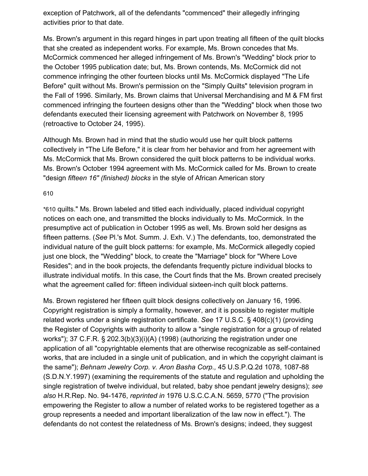exception of Patchwork, all of the defendants "commenced" their allegedly infringing activities prior to that date.

Ms. Brown's argument in this regard hinges in part upon treating all fifteen of the quilt blocks that she created as independent works. For example, Ms. Brown concedes that Ms. McCormick commenced her alleged infringement of Ms. Brown's "Wedding" block prior to the October 1995 publication date; but, Ms. Brown contends, Ms. McCormick did not commence infringing the other fourteen blocks until Ms. McCormick displayed "The Life Before" quilt without Ms. Brown's permission on the "Simply Quilts" television program in the Fall of 1996. Similarly, Ms. Brown claims that Universal Merchandising and M & FM first commenced infringing the fourteen designs other than the "Wedding" block when those two defendants executed their licensing agreement with Patchwork on November 8, 1995 (retroactive to October 24, 1995).

Although Ms. Brown had in mind that the studio would use her quilt block patterns collectively in "The Life Before," it is clear from her behavior and from her agreement with Ms. McCormick that Ms. Brown considered the quilt block patterns to be individual works. Ms. Brown's October 1994 agreement with Ms. McCormick called for Ms. Brown to create "design *fifteen 16" (finished) blocks* in the style of African American story

#### 61[0](https://scholar.google.com/scholar_case?case=17076824367194323456&q=amblin&hl=en&as_sdt=6,33#p610)

\*610 quilts." Ms. Brown labeled and titled each individually, placed individual copyright notices on each one, and transmitted the blocks individually to Ms. McCormick. In the presumptive act of publication in October 1995 as well, Ms. Brown sold her designs as fifteen patterns. (*See* Pl.'s Mot. Summ. J. Exh. V.) The defendants, too, demonstrated the individual nature of the guilt block patterns: for example, Ms. McCormick allegedly copied just one block, the "Wedding" block, to create the "Marriage" block for "Where Love Resides"; and in the book projects, the defendants frequently picture individual blocks to illustrate individual motifs. In this case, the Court finds that the Ms. Brown created precisely what the agreement called for: fifteen individual sixteen-inch quilt block patterns.

Ms. Brown registered her fifteen quilt block designs collectively on January 16, 1996. Copyright registration is simply a formality, however, and it is possible to register multiple related works under a single registration certificate. *See* 17 U.S.C. § 408(c)(1) (providing the Register of Copyrights with authority to allow a "single registration for a group of related works"); 37 C.F.R. § 202.3(b)(3)(i)(A) (1998) (authorizing the registration under one application of all "copyrightable elements that are otherwise recognizable as self-contained works, that are included in a single unit of publication, and in which the copyright claimant is the same"); *Behnam Jewelry Corp. v. Aron Basha Corp.,* 45 U.S.P.Q.2d 1078, 1087-88 (S.D.N.Y.1997) (examining the requirements of the statute and regulation and upholding the single registration of twelve individual, but related, baby shoe pendant jewelry designs); *see also* H.R.Rep. No. 94-1476, *reprinted in* 1976 U.S.C.C.A.N. 5659, 5770 ("The provision empowering the Register to allow a number of related works to be registered together as a group represents a needed and important liberalization of the law now in effect."). The defendants do not contest the relatedness of Ms. Brown's designs; indeed, they suggest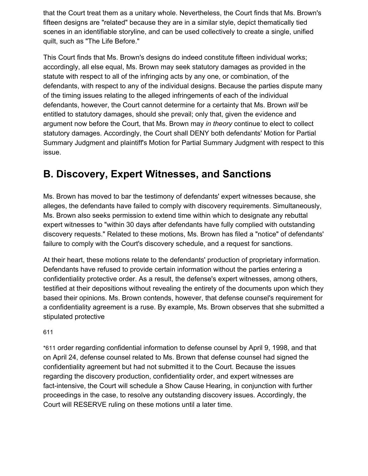that the Court treat them as a unitary whole. Nevertheless, the Court finds that Ms. Brown's fifteen designs are "related" because they are in a similar style, depict thematically tied scenes in an identifiable storyline, and can be used collectively to create a single, unified quilt, such as "The Life Before."

This Court finds that Ms. Brown's designs do indeed constitute fifteen individual works; accordingly, all else equal, Ms. Brown may seek statutory damages as provided in the statute with respect to all of the infringing acts by any one, or combination, of the defendants, with respect to any of the individual designs. Because the parties dispute many of the timing issues relating to the alleged infringements of each of the individual defendants, however, the Court cannot determine for a certainty that Ms. Brown *will* be entitled to statutory damages, should she prevail; only that, given the evidence and argument now before the Court, that Ms. Brown may *in theory* continue to elect to collect statutory damages. Accordingly, the Court shall DENY both defendants' Motion for Partial Summary Judgment and plaintiff's Motion for Partial Summary Judgment with respect to this issue.

## **B. Discovery, Expert Witnesses, and Sanctions**

Ms. Brown has moved to bar the testimony of defendants' expert witnesses because, she alleges, the defendants have failed to comply with discovery requirements. Simultaneously, Ms. Brown also seeks permission to extend time within which to designate any rebuttal expert witnesses to "within 30 days after defendants have fully complied with outstanding discovery requests." Related to these motions, Ms. Brown has filed a "notice" of defendants' failure to comply with the Court's discovery schedule, and a request for sanctions.

At their heart, these motions relate to the defendants' production of proprietary information. Defendants have refused to provide certain information without the parties entering a confidentiality protective order. As a result, the defense's expert witnesses, among others, testified at their depositions without revealing the entirety of the documents upon which they based their opinions. Ms. Brown contends, however, that defense counsel's requirement for a confidentiality agreement is a ruse. By example, Ms. Brown observes that she submitted a stipulated protective

61[1](https://scholar.google.com/scholar_case?case=17076824367194323456&q=amblin&hl=en&as_sdt=6,33#p611)

\*611 order regarding confidential information to defense counsel by April 9, 1998, and that on April 24, defense counsel related to Ms. Brown that defense counsel had signed the confidentiality agreement but had not submitted it to the Court. Because the issues regarding the discovery production, confidentiality order, and expert witnesses are fact-intensive, the Court will schedule a Show Cause Hearing, in conjunction with further proceedings in the case, to resolve any outstanding discovery issues. Accordingly, the Court will RESERVE ruling on these motions until a later time.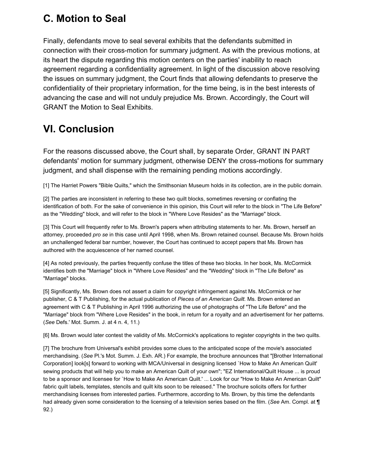## **C. Motion to Seal**

Finally, defendants move to seal several exhibits that the defendants submitted in connection with their cross-motion for summary judgment. As with the previous motions, at its heart the dispute regarding this motion centers on the parties' inability to reach agreement regarding a confidentiality agreement. In light of the discussion above resolving the issues on summary judgment, the Court finds that allowing defendants to preserve the confidentiality of their proprietary information, for the time being, is in the best interests of advancing the case and will not unduly prejudice Ms. Brown. Accordingly, the Court will GRANT the Motion to Seal Exhibits.

# **VI. Conclusion**

For the reasons discussed above, the Court shall, by separate Order, GRANT IN PART defendants' motion for summary judgment, otherwise DENY the cross-motions for summary judgment, and shall dispense with the remaining pending motions accordingly.

[1] The Harriet Powers "Bible Quilts," which the Smithsonian Museum holds in its collection, are in the public domain.

[2] The parties are inconsistent in referring to these two quilt blocks, sometimes reversing or conflating the identification of both. For the sake of convenience in this opinion, this Court will refer to the block in "The Life Before" as the "Wedding" block, and will refer to the block in "Where Love Resides" as the "Marriage" block.

[3] This Court will frequently refer to Ms. Brown's papers when attributing statements to her. Ms. Brown, herself an attorney, proceeded *pro se* in this case until April 1998, when Ms. Brown retained counsel. Because Ms. Brown holds an unchallenged federal bar number, however, the Court has continued to accept papers that Ms. Brown has authored with the acquiescence of her named counsel.

[4] As noted previously, the parties frequently confuse the titles of these two blocks. In her book, Ms. McCormick identifies both the "Marriage" block in "Where Love Resides" and the "Wedding" block in "The Life Before" as "Marriage" blocks.

[5] Significantly, Ms. Brown does not assert a claim for copyright infringement against Ms. McCormick or her publisher, C & T Publishing, for the actual publication of *Pieces of an American Quilt.* Ms. Brown entered an agreement with C & T Publishing in April 1996 authorizing the use of photographs of "The Life Before" and the "Marriage" block from "Where Love Resides" in the book, in return for a royalty and an advertisement for her patterns. (*See* Defs.' Mot. Summ. J. at 4 n. 4, 11.)

[6] Ms. Brown would later contest the validity of Ms. McCormick's applications to register copyrights in the two quilts.

[7] The brochure from Universal's exhibit provides some clues to the anticipated scope of the movie's associated merchandising. (*See* Pl.'s Mot. Summ. J. Exh. AR.) For example, the brochure announces that "[Brother International Corporation] look[s] forward to working with MCA/Universal in designing licensed `How to Make An American Quilt' sewing products that will help you to make an American Quilt of your own"; "EZ International/Quilt House ... is proud to be a sponsor and licensee for `How to Make An American Quilt.' ... Look for our "How to Make An American Quilt" fabric quilt labels, templates, stencils and quilt kits soon to be released." The brochure solicits offers for further merchandising licenses from interested parties. Furthermore, according to Ms. Brown, by this time the defendants had already given some consideration to the licensing of a television series based on the film. (*See* Am. Compl. at ¶ 92.)